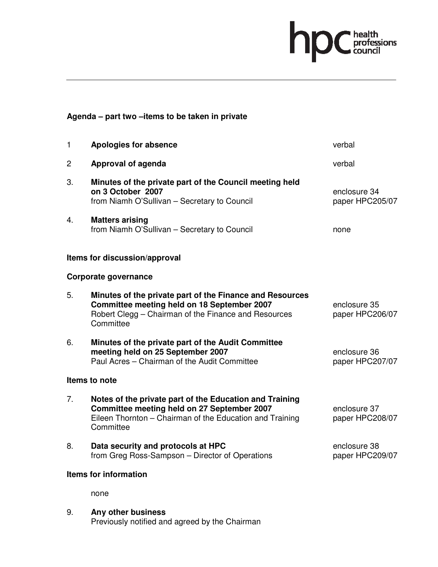## hp C health<br>council

## **Agenda – part two –items to be taken in private**

| 1  | Apologies for absence                                                                                                                                                           | verbal                          |
|----|---------------------------------------------------------------------------------------------------------------------------------------------------------------------------------|---------------------------------|
| 2  | Approval of agenda                                                                                                                                                              | verbal                          |
| 3. | Minutes of the private part of the Council meeting held<br>on 3 October 2007<br>from Niamh O'Sullivan - Secretary to Council                                                    | enclosure 34<br>paper HPC205/07 |
| 4. | <b>Matters arising</b><br>from Niamh O'Sullivan - Secretary to Council                                                                                                          | none                            |
|    | Items for discussion/approval                                                                                                                                                   |                                 |
|    | Corporate governance                                                                                                                                                            |                                 |
| 5. | Minutes of the private part of the Finance and Resources<br>Committee meeting held on 18 September 2007<br>Robert Clegg - Chairman of the Finance and Resources<br>Committee    | enclosure 35<br>paper HPC206/07 |
| 6. | Minutes of the private part of the Audit Committee<br>meeting held on 25 September 2007<br>Paul Acres - Chairman of the Audit Committee                                         | enclosure 36<br>paper HPC207/07 |
|    | Items to note                                                                                                                                                                   |                                 |
| 7. | Notes of the private part of the Education and Training<br>Committee meeting held on 27 September 2007<br>Eileen Thornton - Chairman of the Education and Training<br>Committee | enclosure 37<br>paper HPC208/07 |
| 8. | Data security and protocols at HPC<br>from Greg Ross-Sampson - Director of Operations                                                                                           | enclosure 38<br>paper HPC209/07 |
|    | <b>Items for information</b>                                                                                                                                                    |                                 |

none

9. **Any other business**  Previously notified and agreed by the Chairman